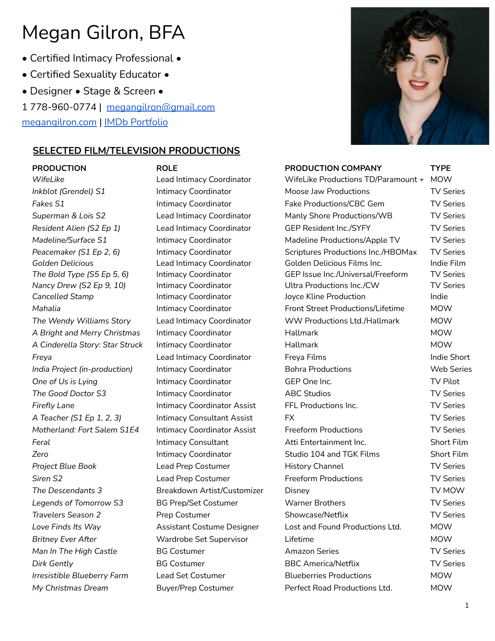- Certified Intimacy Professional •
- Certified Sexuality Educator •
- Designer Stage & Screen •

1 778-960-0774 | [megangilron@gmail.com](mailto:megangilron@gmail.com)

[megangilron.com](http://www.megangilron.com) | IMDb [Portfolio](https://www.imdb.com/name/nm3322032/)

# **SELECTED FILM/TELEVISION PRODUCTIONS**



| <b>PRODUCTION</b>               | <b>ROLE</b>                        | PRODUCTION COMPANY                  | <b>TYPE</b>       |
|---------------------------------|------------------------------------|-------------------------------------|-------------------|
| WifeLike                        | Lead Intimacy Coordinator          | WifeLike Productions TD/Paramount + | <b>MOW</b>        |
| Inkblot (Grendel) S1            | Intimacy Coordinator               | Moose Jaw Productions               | <b>TV Series</b>  |
| Fakes S1                        | Intimacy Coordinator               | Fake Productions/CBC Gem            | <b>TV Series</b>  |
| Superman & Lois S2              | Lead Intimacy Coordinator          | Manly Shore Productions/WB          | <b>TV Series</b>  |
| Resident Alien (S2 Ep 1)        | Lead Intimacy Coordinator          | <b>GEP Resident Inc./SYFY</b>       | <b>TV Series</b>  |
| Madeline/Surface S1             | Intimacy Coordinator               | Madeline Productions/Apple TV       | <b>TV Series</b>  |
| Peacemaker (S1 Ep 2, 6)         | Intimacy Coordinator               | Scriptures Productions Inc./HBOMax  | <b>TV Series</b>  |
| <b>Golden Delicious</b>         | Lead Intimacy Coordinator          | Golden Delicious Films Inc.         | Indie Film        |
| The Bold Type (S5 Ep 5, 6)      | Intimacy Coordinator               | GEP Issue Inc./Universal/Freeform   | <b>TV Series</b>  |
| Nancy Drew (S2 Ep 9, 10)        | Intimacy Coordinator               | Ultra Productions Inc./CW           | <b>TV Series</b>  |
| Cancelled Stamp                 | Intimacy Coordinator               | Joyce Kline Production              | Indie             |
| Mahalia                         | Intimacy Coordinator               | Front Street Productions/Lifetime   | <b>MOW</b>        |
| The Wendy Williams Story        | Lead Intimacy Coordinator          | <b>WW Productions Ltd./Hallmark</b> | <b>MOW</b>        |
| A Bright and Merry Christmas    | Intimacy Coordinator               | Hallmark                            | <b>MOW</b>        |
| A Cinderella Story: Star Struck | Intimacy Coordinator               | Hallmark                            | <b>MOW</b>        |
| Freya                           | Lead Intimacy Coordinator          | Freya Films                         | Indie Short       |
| India Project (in-production)   | Intimacy Coordinator               | <b>Bohra Productions</b>            | <b>Web Series</b> |
| One of Us is Lying              | Intimacy Coordinator               | GEP One Inc.                        | <b>TV Pilot</b>   |
| The Good Doctor S3              | Intimacy Coordinator               | <b>ABC Studios</b>                  | <b>TV Series</b>  |
| Firefly Lane                    | <b>Intimacy Coordinator Assist</b> | FFL Productions Inc.                | <b>TV Series</b>  |
| A Teacher (S1 Ep 1, 2, 3)       | <b>Intimacy Consultant Assist</b>  | FX.                                 | <b>TV Series</b>  |
| Motherland: Fort Salem S1E4     | <b>Intimacy Coordinator Assist</b> | <b>Freeform Productions</b>         | <b>TV Series</b>  |
| Feral                           | Intimacy Consultant                | Atti Entertainment Inc.             | Short Film        |
| Zero                            | Intimacy Coordinator               | Studio 104 and TGK Films            | Short Film        |
| Project Blue Book               | Lead Prep Costumer                 | History Channel                     | <b>TV Series</b>  |
| Siren S2                        | Lead Prep Costumer                 | <b>Freeform Productions</b>         | <b>TV Series</b>  |
| The Descendants 3               | Breakdown Artist/Customizer        | Disney                              | TV MOW            |
| Legends of Tomorrow S3          | <b>BG Prep/Set Costumer</b>        | <b>Warner Brothers</b>              | <b>TV Series</b>  |
| Travelers Season 2              | Prep Costumer                      | Showcase/Netflix                    | <b>TV Series</b>  |
| Love Finds Its Way              | Assistant Costume Designer         | Lost and Found Productions Ltd.     | MOW               |
| <b>Britney Ever After</b>       | <b>Wardrobe Set Supervisor</b>     | Lifetime                            | <b>MOW</b>        |
| Man In The High Castle          | <b>BG Costumer</b>                 | <b>Amazon Series</b>                | <b>TV Series</b>  |
| Dirk Gently                     | <b>BG Costumer</b>                 | <b>BBC America/Netflix</b>          | <b>TV Series</b>  |
| Irresistible Blueberry Farm     | Lead Set Costumer                  | <b>Blueberries Productions</b>      | <b>MOW</b>        |
| My Christmas Dream              | <b>Buver/Prep Costumer</b>         | Perfect Road Productions Ltd.       | <b>MOW</b>        |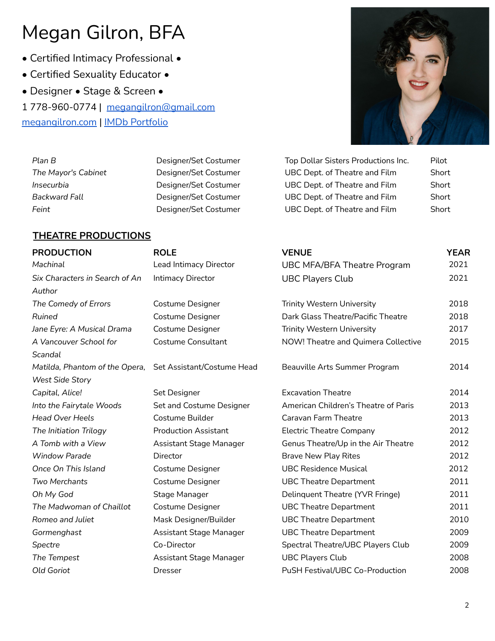- Certified Intimacy Professional •
- Certified Sexuality Educator •
- Designer Stage & Screen •

1 778-960-0774 | [megangilron@gmail.com](mailto:megangilron@gmail.com)

**Plan B** Designer/Set Costumer **The Mayor's Cabinet** Designer/Set Costumer **Insecurbia** Designer/Set Costumer **Backward Fall Example 3 Designer/Set Costumer** Feint
Feint **Feint**Short Costumer **Costumer**  $\frac{1}{2}$ 

[megangilron.com](http://www.megangilron.com) | IMDb [Portfolio](https://www.imdb.com/name/nm3322032/)



| Top Dollar Sisters Productions Inc. | Pilot |
|-------------------------------------|-------|
| UBC Dept. of Theatre and Film       | Short |
| UBC Dept. of Theatre and Film       | Short |
| UBC Dept. of Theatre and Film       | Short |
| UBC Dept. of Theatre and Film       | Short |

# **THEATRE PRODUCTIONS**

| <b>PRODUCTION</b>              | <b>ROLE</b>                    | <b>VENUE</b>                         | <b>YEAR</b> |
|--------------------------------|--------------------------------|--------------------------------------|-------------|
| Machinal                       | Lead Intimacy Director         | <b>UBC MFA/BFA Theatre Program</b>   | 2021        |
| Six Characters in Search of An | Intimacy Director              | <b>UBC Players Club</b>              | 2021        |
| Author                         |                                |                                      |             |
| The Comedy of Errors           | <b>Costume Designer</b>        | <b>Trinity Western University</b>    | 2018        |
| Ruined                         | <b>Costume Designer</b>        | Dark Glass Theatre/Pacific Theatre   | 2018        |
| Jane Eyre: A Musical Drama     | Costume Designer               | <b>Trinity Western University</b>    | 2017        |
| A Vancouver School for         | <b>Costume Consultant</b>      | NOW! Theatre and Quimera Collective  | 2015        |
| Scandal                        |                                |                                      |             |
| Matilda, Phantom of the Opera, | Set Assistant/Costume Head     | Beauville Arts Summer Program        | 2014        |
| <b>West Side Story</b>         |                                |                                      |             |
| Capital, Alice!                | Set Designer                   | <b>Excavation Theatre</b>            | 2014        |
| Into the Fairytale Woods       | Set and Costume Designer       | American Children's Theatre of Paris | 2013        |
| <b>Head Over Heels</b>         | Costume Builder                | Caravan Farm Theatre                 | 2013        |
| The Initiation Trilogy         | <b>Production Assistant</b>    | <b>Electric Theatre Company</b>      | 2012        |
| A Tomb with a View             | <b>Assistant Stage Manager</b> | Genus Theatre/Up in the Air Theatre  | 2012        |
| <b>Window Parade</b>           | Director                       | <b>Brave New Play Rites</b>          | 2012        |
| Once On This Island            | <b>Costume Designer</b>        | <b>UBC Residence Musical</b>         | 2012        |
| Two Merchants                  | <b>Costume Designer</b>        | <b>UBC Theatre Department</b>        | 2011        |
| Oh My God                      | Stage Manager                  | Delinquent Theatre (YVR Fringe)      | 2011        |
| The Madwoman of Chaillot       | Costume Designer               | <b>UBC Theatre Department</b>        | 2011        |
| Romeo and Juliet               | Mask Designer/Builder          | <b>UBC Theatre Department</b>        | 2010        |
| Gormenghast                    | Assistant Stage Manager        | <b>UBC Theatre Department</b>        | 2009        |
| Spectre                        | Co-Director                    | Spectral Theatre/UBC Players Club    | 2009        |
| The Tempest                    | <b>Assistant Stage Manager</b> | <b>UBC Players Club</b>              | 2008        |
| Old Goriot                     | <b>Dresser</b>                 | PuSH Festival/UBC Co-Production      | 2008        |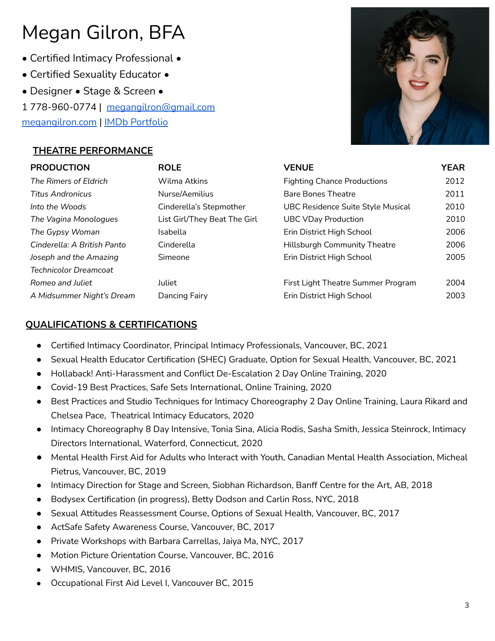- Certified Intimacy Professional •
- Certified Sexuality Educator •
- Designer Stage & Screen •
- 1 778-960-0774 | [megangilron@gmail.com](mailto:megangilron@gmail.com)

[megangilron.com](http://www.megangilron.com) | IMDb [Portfolio](https://www.imdb.com/name/nm3322032/)

# **THEATRE PERFORMANCE**



# **QUALIFICATIONS & CERTIFICATIONS**

- Certified Intimacy Coordinator, Principal Intimacy Professionals, Vancouver, BC, 2021
- Sexual Health Educator Certification (SHEC) Graduate, Option for Sexual Health, Vancouver, BC, 2021
- Hollaback! Anti-Harassment and Conflict De-Escalation 2 Day Online Training, 2020
- Covid-19 Best Practices, Safe Sets International, Online Training, 2020
- Best Practices and Studio Techniques for Intimacy Choreography 2 Day Online Training, Laura Rikard and Chelsea Pace, Theatrical Intimacy Educators, 2020
- Intimacy Choreography 8 Day Intensive, Tonia Sina, Alicia Rodis, Sasha Smith, Jessica Steinrock, Intimacy Directors International, Waterford, Connecticut, 2020
- Mental Health First Aid for Adults who Interact with Youth, Canadian Mental Health Association, Micheal Pietrus, Vancouver, BC, 2019
- Intimacy Direction for Stage and Screen, Siobhan Richardson, Banff Centre for the Art, AB, 2018
- Bodysex Certification (in progress), Betty Dodson and Carlin Ross, NYC, 2018
- Sexual Attitudes Reassessment Course, Options of Sexual Health, Vancouver, BC, 2017
- ActSafe Safety Awareness Course, Vancouver, BC, 2017
- Private Workshops with Barbara Carrellas, Jaiya Ma, NYC, 2017
- Motion Picture Orientation Course, Vancouver, BC, 2016
- WHMIS, Vancouver, BC, 2016
- Occupational First Aid Level I, Vancouver BC, 2015

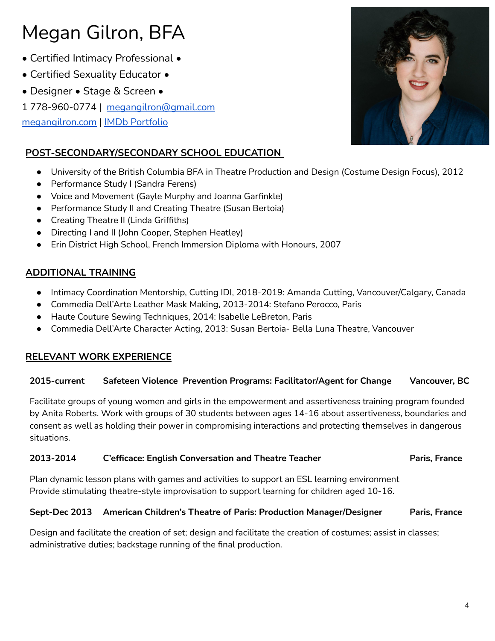- Certified Intimacy Professional •
- Certified Sexuality Educator •
- Designer Stage & Screen •
- 1 778-960-0774 | [megangilron@gmail.com](mailto:megangilron@gmail.com)

[megangilron.com](http://www.megangilron.com) | IMDb [Portfolio](https://www.imdb.com/name/nm3322032/)

# **POST-SECONDARY/SECONDARY SCHOOL EDUCATION**

- University of the British Columbia BFA in Theatre Production and Design (Costume Design Focus), 2012
- Performance Study I (Sandra Ferens)
- Voice and Movement (Gayle Murphy and Joanna Garfinkle)
- Performance Study II and Creating Theatre (Susan Bertoia)
- Creating Theatre II (Linda Griffiths)
- Directing I and II (John Cooper, Stephen Heatley)
- Erin District High School, French Immersion Diploma with Honours, 2007

# **ADDITIONAL TRAINING**

- Intimacy Coordination Mentorship, Cutting IDI, 2018-2019: Amanda Cutting, Vancouver/Calgary, Canada
- Commedia Dell'Arte Leather Mask Making, 2013-2014: Stefano Perocco, Paris
- Haute Couture Sewing Techniques, 2014: Isabelle LeBreton, Paris
- Commedia Dell'Arte Character Acting, 2013: Susan Bertoia- Bella Luna Theatre, Vancouver

# **RELEVANT WORK EXPERIENCE**

# **2015-current Safeteen Violence Prevention Programs: Facilitator/Agent for Change Vancouver, BC**

Facilitate groups of young women and girls in the empowerment and assertiveness training program founded by Anita Roberts. Work with groups of 30 students between ages 14-16 about assertiveness, boundaries and consent as well as holding their power in compromising interactions and protecting themselves in dangerous situations.

# **2013-2014 C'efficace: English Conversation and Theatre Teacher Paris, France**

Plan dynamic lesson plans with games and activities to support an ESL learning environment Provide stimulating theatre-style improvisation to support learning for children aged 10-16.

### **Sept-Dec 2013 American Children's Theatre of Paris: Production Manager/Designer Paris, France**

Design and facilitate the creation of set; design and facilitate the creation of costumes; assist in classes; administrative duties; backstage running of the final production.